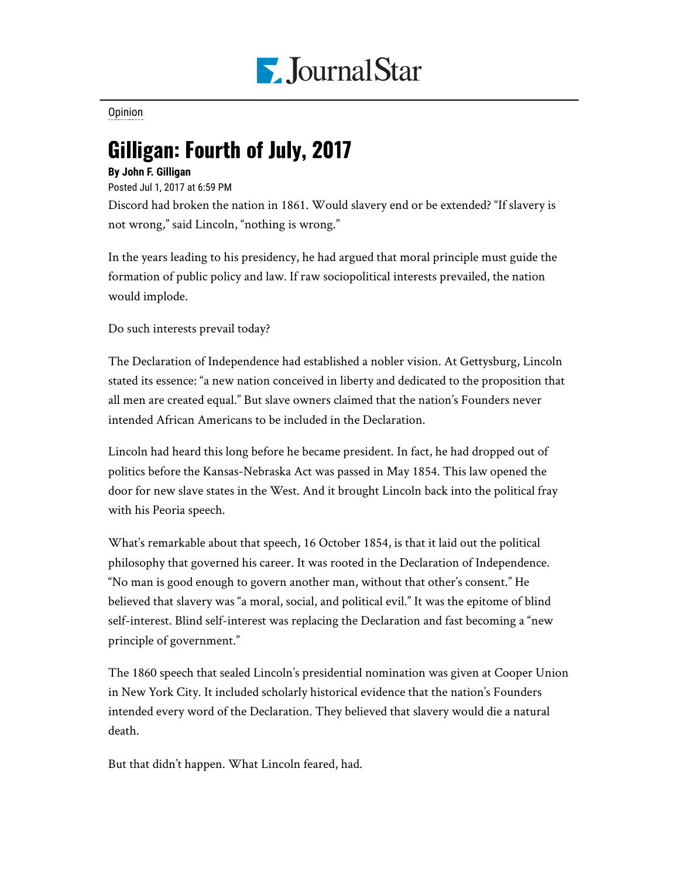

[Opinion](https://www.pjstar.com/search?text=Opinion)

## Gilligan: Fourth of July, 2017

## **By John F. Gilligan**

Posted Jul 1, 2017 at 6:59 PM

Discord had broken the nation in 1861. Would slavery end or be extended? "If slavery is not wrong," said Lincoln, "nothing is wrong."

In the years leading to his presidency, he had argued that moral principle must guide the formation of public policy and law. If raw sociopolitical interests prevailed, the nation would implode.

Do such interests prevail today?

The Declaration of Independence had established a nobler vision. At Gettysburg, Lincoln stated its essence: "a new nation conceived in liberty and dedicated to the proposition that all men are created equal." But slave owners claimed that the nation's Founders never intended African Americans to be included in the Declaration.

Lincoln had heard this long before he became president. In fact, he had dropped out of politics before the Kansas-Nebraska Act was passed in May 1854. This law opened the door for new slave states in the West. And it brought Lincoln back into the political fray with his Peoria speech.

What's remarkable about that speech, 16 October 1854, is that it laid out the political philosophy that governed his career. It was rooted in the Declaration of Independence. "No man is good enough to govern another man, without that other's consent." He believed that slavery was "a moral, social, and political evil." It was the epitome of blind self-interest. Blind self-interest was replacing the Declaration and fast becoming a "new principle of government."

The 1860 speech that sealed Lincoln's presidential nomination was given at Cooper Union in New York City. It included scholarly historical evidence that the nation's Founders intended every word of the Declaration. They believed that slavery would die a natural death.

But that didn't happen. What Lincoln feared, had.